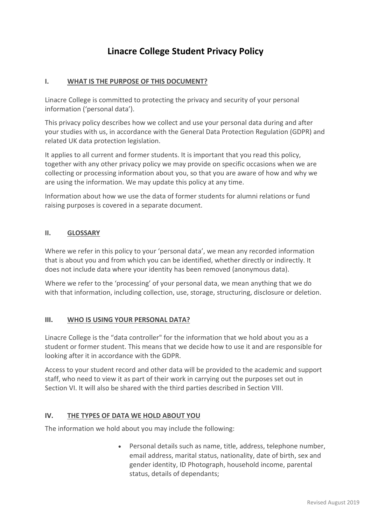# **Linacre College Student Privacy Policy**

# **I. WHAT IS THE PURPOSE OF THIS DOCUMENT?**

Linacre College is committed to protecting the privacy and security of your personal information ('personal data').

This privacy policy describes how we collect and use your personal data during and after your studies with us, in accordance with the General Data Protection Regulation (GDPR) and related UK data protection legislation.

It applies to all current and former students. It is important that you read this policy, together with any other privacy policy we may provide on specific occasions when we are collecting or processing information about you, so that you are aware of how and why we are using the information. We may update this policy at any time.

Information about how we use the data of former students for alumni relations or fund raising purposes is covered in a separate document.

# **II. GLOSSARY**

Where we refer in this policy to your 'personal data', we mean any recorded information that is about you and from which you can be identified, whether directly or indirectly. It does not include data where your identity has been removed (anonymous data).

Where we refer to the 'processing' of your personal data, we mean anything that we do with that information, including collection, use, storage, structuring, disclosure or deletion.

#### **III. WHO IS USING YOUR PERSONAL DATA?**

Linacre College is the "data controller" for the information that we hold about you as a student or former student. This means that we decide how to use it and are responsible for looking after it in accordance with the GDPR.

Access to your student record and other data will be provided to the academic and support staff, who need to view it as part of their work in carrying out the purposes set out in Section VI. It will also be shared with the third parties described in Section VIII.

#### **IV. THE TYPES OF DATA WE HOLD ABOUT YOU**

The information we hold about you may include the following:

 Personal details such as name, title, address, telephone number, email address, marital status, nationality, date of birth, sex and gender identity, ID Photograph, household income, parental status, details of dependants;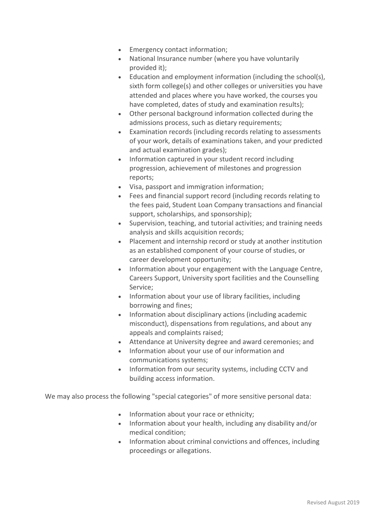- Emergency contact information;
- National Insurance number (where you have voluntarily provided it);
- Education and employment information (including the school(s), sixth form college(s) and other colleges or universities you have attended and places where you have worked, the courses you have completed, dates of study and examination results);
- Other personal background information collected during the admissions process, such as dietary requirements;
- Examination records (including records relating to assessments of your work, details of examinations taken, and your predicted and actual examination grades);
- Information captured in your student record including progression, achievement of milestones and progression reports;
- Visa, passport and immigration information;
- Fees and financial support record (including records relating to the fees paid, Student Loan Company transactions and financial support, scholarships, and sponsorship);
- Supervision, teaching, and tutorial activities; and training needs analysis and skills acquisition records;
- Placement and internship record or study at another institution as an established component of your course of studies, or career development opportunity;
- Information about your engagement with the Language Centre, Careers Support, University sport facilities and the Counselling Service;
- Information about your use of library facilities, including borrowing and fines;
- Information about disciplinary actions (including academic misconduct), dispensations from regulations, and about any appeals and complaints raised;
- Attendance at University degree and award ceremonies; and
- Information about your use of our information and communications systems;
- Information from our security systems, including CCTV and building access information.

We may also process the following "special categories" of more sensitive personal data:

- Information about your race or ethnicity;
- Information about your health, including any disability and/or medical condition;
- Information about criminal convictions and offences, including proceedings or allegations.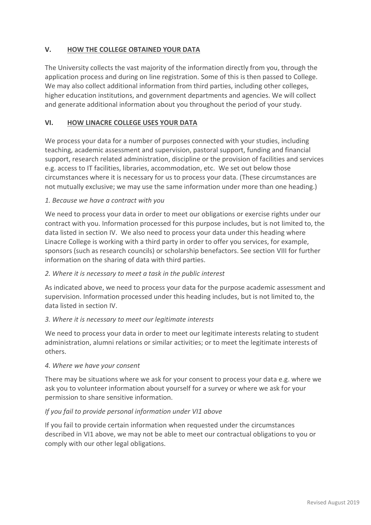# **V. HOW THE COLLEGE OBTAINED YOUR DATA**

The University collects the vast majority of the information directly from you, through the application process and during on line registration. Some of this is then passed to College. We may also collect additional information from third parties, including other colleges, higher education institutions, and government departments and agencies. We will collect and generate additional information about you throughout the period of your study.

# **VI. HOW LINACRE COLLEGE USES YOUR DATA**

We process your data for a number of purposes connected with your studies, including teaching, academic assessment and supervision, pastoral support, funding and financial support, research related administration, discipline or the provision of facilities and services e.g. access to IT facilities, libraries, accommodation, etc. We set out below those circumstances where it is necessary for us to process your data. (These circumstances are not mutually exclusive; we may use the same information under more than one heading.)

# *1. Because we have a contract with you*

We need to process your data in order to meet our obligations or exercise rights under our contract with you. Information processed for this purpose includes, but is not limited to, the data listed in section IV. We also need to process your data under this heading where Linacre College is working with a third party in order to offer you services, for example, sponsors (such as research councils) or scholarship benefactors. See section VIII for further information on the sharing of data with third parties.

#### *2. Where it is necessary to meet a task in the public interest*

As indicated above, we need to process your data for the purpose academic assessment and supervision. Information processed under this heading includes, but is not limited to, the data listed in section IV.

#### *3. Where it is necessary to meet our legitimate interests*

We need to process your data in order to meet our legitimate interests relating to student administration, alumni relations or similar activities; or to meet the legitimate interests of others.

#### *4. Where we have your consent*

There may be situations where we ask for your consent to process your data e.g. where we ask you to volunteer information about yourself for a survey or where we ask for your permission to share sensitive information.

#### *If you fail to provide personal information under VI1 above*

If you fail to provide certain information when requested under the circumstances described in VI1 above, we may not be able to meet our contractual obligations to you or comply with our other legal obligations.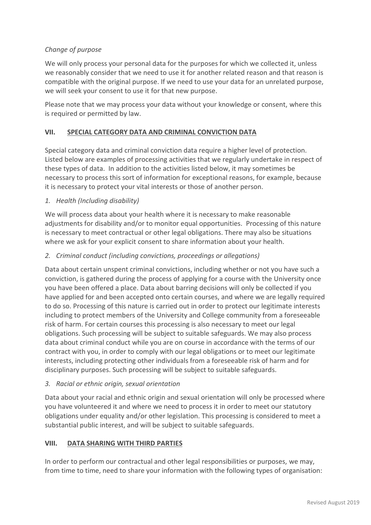# *Change of purpose*

We will only process your personal data for the purposes for which we collected it, unless we reasonably consider that we need to use it for another related reason and that reason is compatible with the original purpose. If we need to use your data for an unrelated purpose, we will seek your consent to use it for that new purpose.

Please note that we may process your data without your knowledge or consent, where this is required or permitted by law.

# **VII. SPECIAL CATEGORY DATA AND CRIMINAL CONVICTION DATA**

Special category data and criminal conviction data require a higher level of protection. Listed below are examples of processing activities that we regularly undertake in respect of these types of data. In addition to the activities listed below, it may sometimes be necessary to process this sort of information for exceptional reasons, for example, because it is necessary to protect your vital interests or those of another person.

# *1. Health (Including disability)*

We will process data about your health where it is necessary to make reasonable adjustments for disability and/or to monitor equal opportunities. Processing of this nature is necessary to meet contractual or other legal obligations. There may also be situations where we ask for your explicit consent to share information about your health.

# *2. Criminal conduct (including convictions, proceedings or allegations)*

Data about certain unspent criminal convictions, including whether or not you have such a conviction, is gathered during the process of applying for a course with the University once you have been offered a place. Data about barring decisions will only be collected if you have applied for and been accepted onto certain courses, and where we are legally required to do so. Processing of this nature is carried out in order to protect our legitimate interests including to protect members of the University and College community from a foreseeable risk of harm. For certain courses this processing is also necessary to meet our legal obligations. Such processing will be subject to suitable safeguards. We may also process data about criminal conduct while you are on course in accordance with the terms of our contract with you, in order to comply with our legal obligations or to meet our legitimate interests, including protecting other individuals from a foreseeable risk of harm and for disciplinary purposes. Such processing will be subject to suitable safeguards.

#### *3. Racial or ethnic origin, sexual orientation*

Data about your racial and ethnic origin and sexual orientation will only be processed where you have volunteered it and where we need to process it in order to meet our statutory obligations under equality and/or other legislation. This processing is considered to meet a substantial public interest, and will be subject to suitable safeguards.

#### **VIII. DATA SHARING WITH THIRD PARTIES**

In order to perform our contractual and other legal responsibilities or purposes, we may, from time to time, need to share your information with the following types of organisation: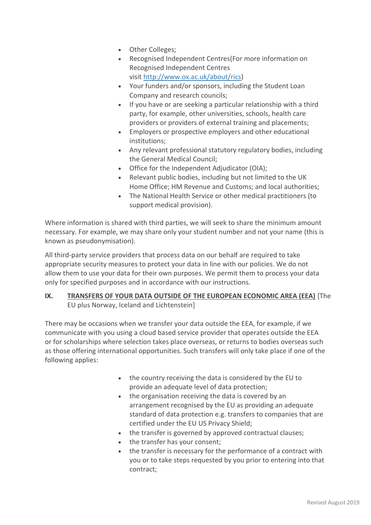- Other Colleges;
- Recognised Independent Centres(For more information on Recognised Independent Centres visit [http://www.ox.ac.uk/about/rics\)](http://www.ox.ac.uk/about/rics)
- Your funders and/or sponsors, including the Student Loan Company and research councils;
- If you have or are seeking a particular relationship with a third party, for example, other universities, schools, health care providers or providers of external training and placements;
- Employers or prospective employers and other educational institutions;
- Any relevant professional statutory regulatory bodies, including the General Medical Council;
- Office for the Independent Adjudicator (OIA);
- Relevant public bodies, including but not limited to the UK Home Office; HM Revenue and Customs; and local authorities;
- The National Health Service or other medical practitioners (to support medical provision).

Where information is shared with third parties, we will seek to share the minimum amount necessary. For example, we may share only your student number and not your name (this is known as pseudonymisation).

All third-party service providers that process data on our behalf are required to take appropriate security measures to protect your data in line with our policies. We do not allow them to use your data for their own purposes. We permit them to process your data only for specified purposes and in accordance with our instructions.

# **IX. TRANSFERS OF YOUR DATA OUTSIDE OF THE EUROPEAN ECONOMIC AREA (EEA)** [The EU plus Norway, Iceland and Lichtenstein]

There may be occasions when we transfer your data outside the EEA, for example, if we communicate with you using a cloud based service provider that operates outside the EEA or for scholarships where selection takes place overseas, or returns to bodies overseas such as those offering international opportunities. Such transfers will only take place if one of the following applies:

- the country receiving the data is considered by the EU to provide an adequate level of data protection;
- the organisation receiving the data is covered by an arrangement recognised by the EU as providing an adequate standard of data protection e.g. transfers to companies that are certified under the EU US Privacy Shield;
- the transfer is governed by approved contractual clauses;
- the transfer has your consent;
- the transfer is necessary for the performance of a contract with you or to take steps requested by you prior to entering into that contract;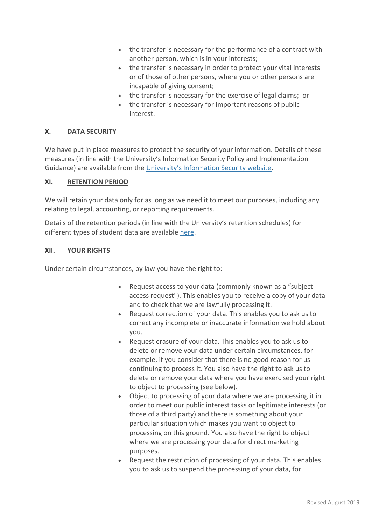- the transfer is necessary for the performance of a contract with another person, which is in your interests;
- the transfer is necessary in order to protect your vital interests or of those of other persons, where you or other persons are incapable of giving consent;
- the transfer is necessary for the exercise of legal claims; or
- the transfer is necessary for important reasons of public interest.

# **X. DATA SECURITY**

We have put in place measures to protect the security of your information. Details of these measures (in line with the University's Information Security Policy and Implementation Guidance) are available from the [University's Information Security website](https://www.infosec.ox.ac.uk/guidance-policy).

# **XI. RETENTION PERIOD**

We will retain your data only for as long as we need it to meet our purposes, including any relating to legal, accounting, or reporting requirements.

Details of the retention periods (in line with the University's retention schedules) for different types of student data are available [here.](https://compliance.admin.ox.ac.uk/retention-schedules)

#### **XII. YOUR RIGHTS**

Under certain circumstances, by law you have the right to:

- Request access to your data (commonly known as a "subject access request"). This enables you to receive a copy of your data and to check that we are lawfully processing it.
- Request correction of your data. This enables you to ask us to correct any incomplete or inaccurate information we hold about you.
- Request erasure of your data. This enables you to ask us to delete or remove your data under certain circumstances, for example, if you consider that there is no good reason for us continuing to process it. You also have the right to ask us to delete or remove your data where you have exercised your right to object to processing (see below).
- Object to processing of your data where we are processing it in order to meet our public interest tasks or legitimate interests (or those of a third party) and there is something about your particular situation which makes you want to object to processing on this ground. You also have the right to object where we are processing your data for direct marketing purposes.
- Request the restriction of processing of your data. This enables you to ask us to suspend the processing of your data, for